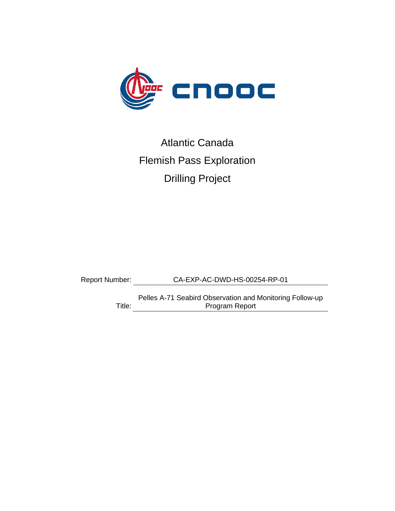

# Atlantic Canada Flemish Pass Exploration Drilling Project

Report Number: CA-EXP-AC-DWD-HS-00254-RP-01

Title: Program ReportPelles A-71 Seabird Observation and Monitoring Follow-up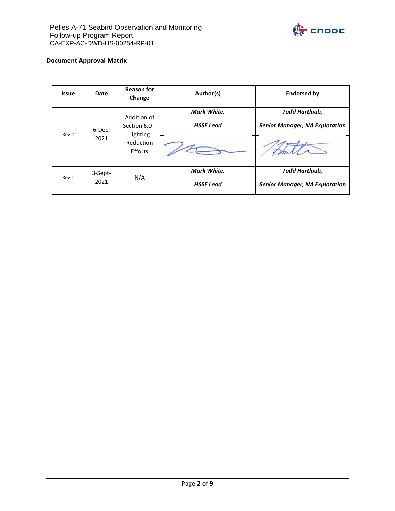

#### **Document Approval Matrix**

| <b>Issue</b> | Date                   | <b>Reason for</b><br>Change                | Author(s)                       | <b>Endorsed by</b>                                      |  |
|--------------|------------------------|--------------------------------------------|---------------------------------|---------------------------------------------------------|--|
| Rev 2        | 6-Dec-                 | Addition of<br>Section $6.0 -$<br>Lighting | Mark White,<br><b>HSSE Lead</b> | Todd Hartlaub,<br><b>Senior Manager, NA Exploration</b> |  |
|              | 2021                   | Reduction<br>Efforts                       |                                 |                                                         |  |
| Rev 1        | 3-Sept-<br>N/A<br>2021 |                                            | Mark White,<br><b>HSSE Lead</b> | Todd Hartlaub,<br><b>Senior Manager, NA Exploration</b> |  |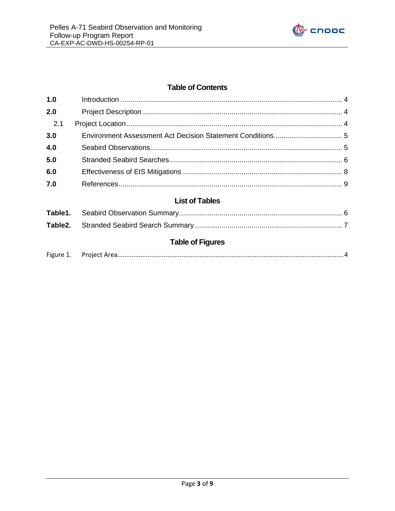

# **Table of Contents**

| 1.0                  |                       |  |
|----------------------|-----------------------|--|
| 2.0                  |                       |  |
| 2.1                  |                       |  |
| 3.0                  |                       |  |
| 4.0                  |                       |  |
| 5.0                  |                       |  |
| 6.0                  |                       |  |
| 7.0                  |                       |  |
|                      | <b>List of Tables</b> |  |
| Table1.              |                       |  |
| Table <sub>2</sub> . |                       |  |
|                      |                       |  |

# **Table of Figures**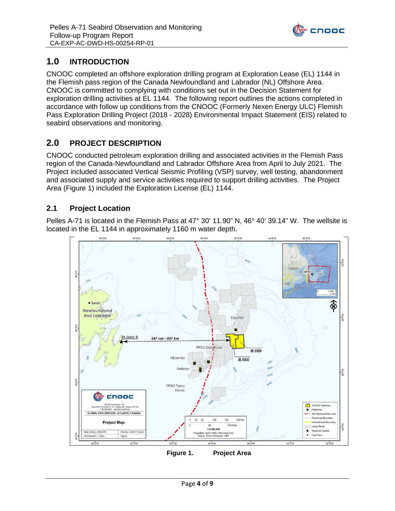

# <span id="page-3-0"></span>**1.0 INTRODUCTION**

CNOOC completed an offshore exploration drilling program at Exploration Lease (EL) 1144 in the Flemish pass region of the Canada Newfoundland and Labrador (NL) Offshore Area. CNOOC is committed to complying with conditions set out in the Decision Statement for exploration drilling activities at EL 1144. The following report outlines the actions completed in accordance with follow up conditions from the CNOOC (Formerly Nexen Energy ULC) Flemish Pass Exploration Drilling Project (2018 - 2028) Environmental Impact Statement (EIS) related to seabird observations and monitoring.

# <span id="page-3-1"></span>**2.0 PROJECT DESCRIPTION**

CNOOC conducted petroleum exploration drilling and associated activities in the Flemish Pass region of the Canada-Newfoundland and Labrador Offshore Area from April to July 2021. The Project included associated Vertical Seismic Profiling (VSP) survey, well testing, abandonment and associated supply and service activities required to support drilling activities. The Project Area (Figure 1) included the Exploration License (EL) 1144.

#### <span id="page-3-2"></span>**2.1 Project Location**

Pelles A-71 is located in the Flemish Pass at 47° 30' 11.90" N, 46° 40' 39.14" W. The wellsite is located in the EL 1144 in approximately 1160 m water depth.



<span id="page-3-3"></span>**Figure 1. Project Area**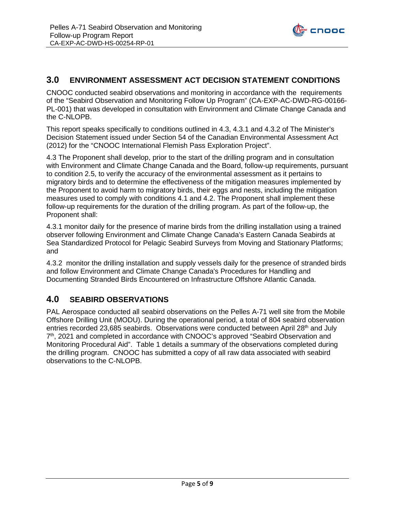

#### <span id="page-4-0"></span>**3.0 ENVIRONMENT ASSESSMENT ACT DECISION STATEMENT CONDITIONS**

CNOOC conducted seabird observations and monitoring in accordance with the requirements of the "Seabird Observation and Monitoring Follow Up Program" (CA-EXP-AC-DWD-RG-00166- PL-001) that was developed in consultation with Environment and Climate Change Canada and the C-NLOPB.

This report speaks specifically to conditions outlined in 4.3, 4.3.1 and 4.3.2 of The Minister's Decision Statement issued under Section 54 of the Canadian Environmental Assessment Act (2012) for the "CNOOC International Flemish Pass Exploration Project".

4.3 The Proponent shall develop, prior to the start of the drilling program and in consultation with Environment and Climate Change Canada and the Board, follow-up requirements, pursuant to condition 2.5, to verify the accuracy of the environmental assessment as it pertains to migratory birds and to determine the effectiveness of the mitigation measures implemented by the Proponent to avoid harm to migratory birds, their eggs and nests, including the mitigation measures used to comply with conditions 4.1 and 4.2. The Proponent shall implement these follow-up requirements for the duration of the drilling program. As part of the follow-up, the Proponent shall:

4.3.1 monitor daily for the presence of marine birds from the drilling installation using a trained observer following Environment and Climate Change Canada's Eastern Canada Seabirds at Sea Standardized Protocol for Pelagic Seabird Surveys from Moving and Stationary Platforms; and

4.3.2 monitor the drilling installation and supply vessels daily for the presence of stranded birds and follow Environment and Climate Change Canada's Procedures for Handling and Documenting Stranded Birds Encountered on Infrastructure Offshore Atlantic Canada.

#### <span id="page-4-1"></span>**4.0 SEABIRD OBSERVATIONS**

PAL Aerospace conducted all seabird observations on the Pelles A-71 well site from the Mobile Offshore Drilling Unit (MODU). During the operational period, a total of 804 seabird observation entries recorded 23,685 seabirds. Observations were conducted between April 28<sup>th</sup> and July 7<sup>th</sup>, 2021 and completed in accordance with CNOOC's approved "Seabird Observation and Monitoring Procedural Aid". Table 1 details a summary of the observations completed during the drilling program. CNOOC has submitted a copy of all raw data associated with seabird observations to the C-NLOPB.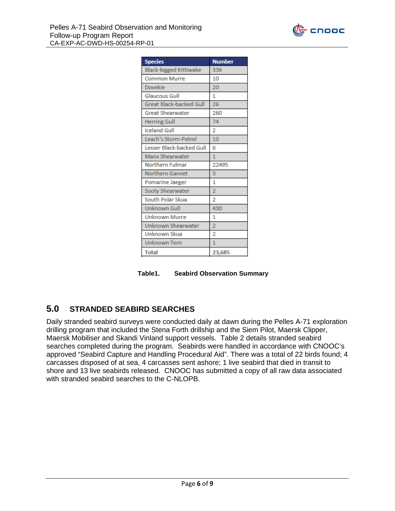

| <b>Species</b>                 | <b>Number</b>  |  |  |  |  |
|--------------------------------|----------------|--|--|--|--|
| <b>Black-legged Kittiwake</b>  | 336            |  |  |  |  |
| <b>Common Murre</b>            | 10             |  |  |  |  |
| <b>Dovekie</b>                 | 20             |  |  |  |  |
| <b>Glaucous Gull</b>           | 1              |  |  |  |  |
| <b>Great Black-backed Gull</b> | 26             |  |  |  |  |
| <b>Great Shearwater</b>        | 260            |  |  |  |  |
| <b>Herring Gull</b>            | 74             |  |  |  |  |
| <b>Iceland Gull</b>            | $\overline{2}$ |  |  |  |  |
| Leach's Storm-Petrel           | 10             |  |  |  |  |
| Lesser Black-backed Gull       | 6              |  |  |  |  |
| Manx Shearwater                | 1              |  |  |  |  |
| Northern Fulmar                | 22495          |  |  |  |  |
| <b>Northern Gannet</b>         | 3              |  |  |  |  |
| Pomarine Jaeger                | 1              |  |  |  |  |
| Sooty Shearwater               | $\overline{2}$ |  |  |  |  |
| South Polar Skua               | $\overline{2}$ |  |  |  |  |
| <b>Unknown Gull</b>            | 430            |  |  |  |  |
| <b>Unknown Murre</b>           | 1              |  |  |  |  |
| Unknown Shearwater             | $\overline{2}$ |  |  |  |  |
| Unknown Skua                   | $\overline{2}$ |  |  |  |  |
| <b>Unknown Tern</b>            | $\overline{1}$ |  |  |  |  |
| <b>Total</b>                   | 23,685         |  |  |  |  |

<span id="page-5-1"></span>**Table1. Seabird Observation Summary**

#### <span id="page-5-0"></span>**5.0 STRANDED SEABIRD SEARCHES**

Daily stranded seabird surveys were conducted daily at dawn during the Pelles A-71 exploration drilling program that included the Stena Forth drillship and the Siem Pilot, Maersk Clipper, Maersk Mobiliser and Skandi Vinland support vessels. Table 2 details stranded seabird searches completed during the program. Seabirds were handled in accordance with CNOOC's approved "Seabird Capture and Handling Procedural Aid". There was a total of 22 birds found; 4 carcasses disposed of at sea, 4 carcasses sent ashore; 1 live seabird that died in transit to shore and 13 live seabirds released. CNOOC has submitted a copy of all raw data associated with stranded seabird searches to the C-NLOPB.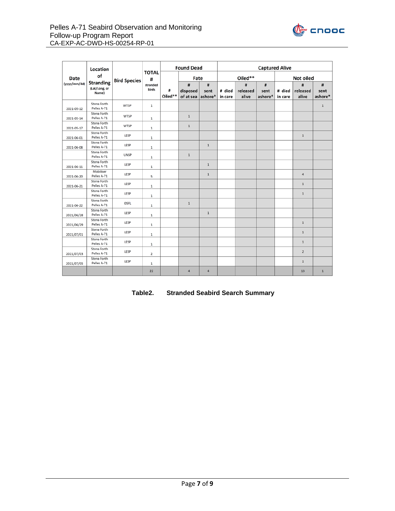

|              | Location<br>of<br><b>Stranding</b><br>(Lat/Long, or<br>Name) | <b>Bird Species</b> | <b>TOTAL</b><br>#<br>stranded<br>birds | <b>Found Dead</b> |                            | <b>Captured Alive</b> |                   |                        |                      |                   |                        |                      |
|--------------|--------------------------------------------------------------|---------------------|----------------------------------------|-------------------|----------------------------|-----------------------|-------------------|------------------------|----------------------|-------------------|------------------------|----------------------|
| Date         |                                                              |                     |                                        |                   | Fate                       |                       | Oiled**           |                        | Not oiled            |                   |                        |                      |
| (yyyy/mm/dd) |                                                              |                     |                                        | #<br>Oiled**      | #<br>disposed<br>of at sea | #<br>sent<br>ashore*  | # died<br>in care | #<br>released<br>alive | #<br>sent<br>ashore* | # died<br>in care | #<br>released<br>alive | #<br>sent<br>ashore* |
| 2021-05-12   | Stena Forth<br>Pelles A-71                                   | <b>WTSP</b>         | $\mathbf 1$                            |                   |                            |                       |                   |                        |                      |                   |                        | $\mathbf{1}$         |
| 2021-05-14   | Stena Forth<br>Pelles A-71                                   | WTSP                | $\mathbf 1$                            |                   | $\mathbf 1$                |                       |                   |                        |                      |                   |                        |                      |
| 2021-05-17   | Stena Forth<br>Pelles A-71                                   | WTSP                | $\,1\,$                                |                   | $\,1\,$                    |                       |                   |                        |                      |                   |                        |                      |
| 2021-06-01   | Stena Forth<br>Pelles A-71                                   | LESP                | $\mathbf 1$                            |                   |                            |                       |                   |                        |                      |                   | $\,1$                  |                      |
| 2021-06-08   | Stena Forth<br>Pelles A-71                                   | LESP                | $\,1\,$                                |                   |                            | $\mathbf 1$           |                   |                        |                      |                   |                        |                      |
|              | Stena Forth<br>Pelles A-71                                   | <b>UNSP</b>         | $1\,$                                  |                   | $\mathbf 1$                |                       |                   |                        |                      |                   |                        |                      |
| 2021-06-11   | Stena Forth<br>Pelles A-71                                   | LESP                | $\mathbf{1}$                           |                   |                            | $\mathbf{1}$          |                   |                        |                      |                   |                        |                      |
| 2021-06-20   | Mobiliser<br>Pelles A-71                                     | LESP                | 5                                      |                   |                            | $\mathbf{1}$          |                   |                        |                      |                   | $\overline{4}$         |                      |
| 2021-06-21   | Stena Forth<br>Pelles A-71                                   | LESP                | $\mathbf 1$                            |                   |                            |                       |                   |                        |                      |                   | $\,1$                  |                      |
|              | Stena Forth<br>Pelles A-71                                   | LESP                | $\mathbf 1$                            |                   |                            |                       |                   |                        |                      |                   | $\,1\,$                |                      |
| 2021-06-22   | Stena Forth<br>Pelles A-71                                   | <b>OSFL</b>         | $\mathbf 1$                            |                   | $1\,$                      |                       |                   |                        |                      |                   |                        |                      |
| 2021/06/28   | Stena Forth<br>Pelles A-71                                   | LESP                | $\,1\,$                                |                   |                            | $\mathbf 1$           |                   |                        |                      |                   |                        |                      |
| 2021/06/29   | Stena Forth<br>Pelles A-71                                   | LESP                | $\mathbf 1$                            |                   |                            |                       |                   |                        |                      |                   | $\mathbf 1$            |                      |
| 2021/07/01   | Stena Forth<br>Pelles A-71                                   | LESP                | $\mathbf 1$                            |                   |                            |                       |                   |                        |                      |                   | $1\,$                  |                      |
|              | Stena Forth<br>Pelles A-71                                   | LESP                | $\mathbf 1$                            |                   |                            |                       |                   |                        |                      |                   | $1\,$                  |                      |
| 2021/07/03   | Stena Forth<br>Pelles A-71                                   | LESP                | $\overline{2}$                         |                   |                            |                       |                   |                        |                      |                   | $\mathbf 2$            |                      |
| 2021/07/05   | Stena Forth<br>Pelles A-71                                   | LESP                | $\,1\,$                                |                   |                            |                       |                   |                        |                      |                   | $\,1\,$                |                      |
|              |                                                              |                     | 22                                     |                   | $\overline{a}$             | $\overline{4}$        |                   |                        |                      |                   | 13                     | $\mathbf{1}$         |

#### <span id="page-6-0"></span>**Table2. Stranded Seabird Search Summary**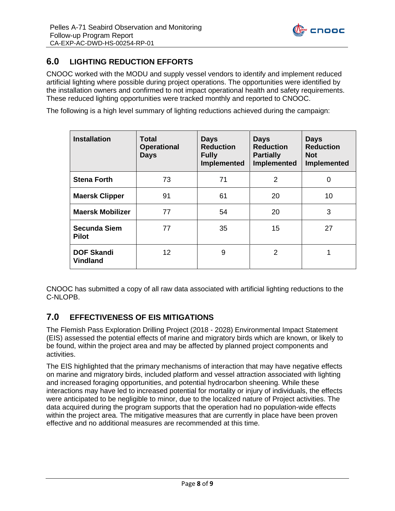

# <span id="page-7-0"></span>**6.0 LIGHTING REDUCTION EFFORTS**

CNOOC worked with the MODU and supply vessel vendors to identify and implement reduced artificial lighting where possible during project operations. The opportunities were identified by the installation owners and confirmed to not impact operational health and safety requirements. These reduced lighting opportunities were tracked monthly and reported to CNOOC.

The following is a high level summary of lighting reductions achieved during the campaign:

| <b>Installation</b>                  | <b>Total</b><br><b>Operational</b><br><b>Days</b> | <b>Days</b><br><b>Reduction</b><br><b>Fully</b><br>Implemented | <b>Days</b><br><b>Reduction</b><br><b>Partially</b><br>Implemented | <b>Days</b><br><b>Reduction</b><br><b>Not</b><br>Implemented |  |
|--------------------------------------|---------------------------------------------------|----------------------------------------------------------------|--------------------------------------------------------------------|--------------------------------------------------------------|--|
| <b>Stena Forth</b>                   | 73                                                | 71                                                             | 2                                                                  | 0                                                            |  |
| <b>Maersk Clipper</b>                | 91                                                | 61                                                             | 20                                                                 | 10                                                           |  |
| <b>Maersk Mobilizer</b>              | 77                                                | 54                                                             | 20                                                                 | 3                                                            |  |
| <b>Secunda Siem</b><br><b>Pilot</b>  | 77                                                | 35                                                             | 15                                                                 | 27                                                           |  |
| <b>DOF Skandi</b><br><b>Vindland</b> | 12                                                | 9                                                              | 2                                                                  | 1                                                            |  |

CNOOC has submitted a copy of all raw data associated with artificial lighting reductions to the C-NLOPB.

#### **7.0 EFFECTIVENESS OF EIS MITIGATIONS**

The Flemish Pass Exploration Drilling Project (2018 - 2028) Environmental Impact Statement (EIS) assessed the potential effects of marine and migratory birds which are known, or likely to be found, within the project area and may be affected by planned project components and activities.

The EIS highlighted that the primary mechanisms of interaction that may have negative effects on marine and migratory birds, included platform and vessel attraction associated with lighting and increased foraging opportunities, and potential hydrocarbon sheening. While these interactions may have led to increased potential for mortality or injury of individuals, the effects were anticipated to be negligible to minor, due to the localized nature of Project activities. The data acquired during the program supports that the operation had no population-wide effects within the project area. The mitigative measures that are currently in place have been proven effective and no additional measures are recommended at this time.